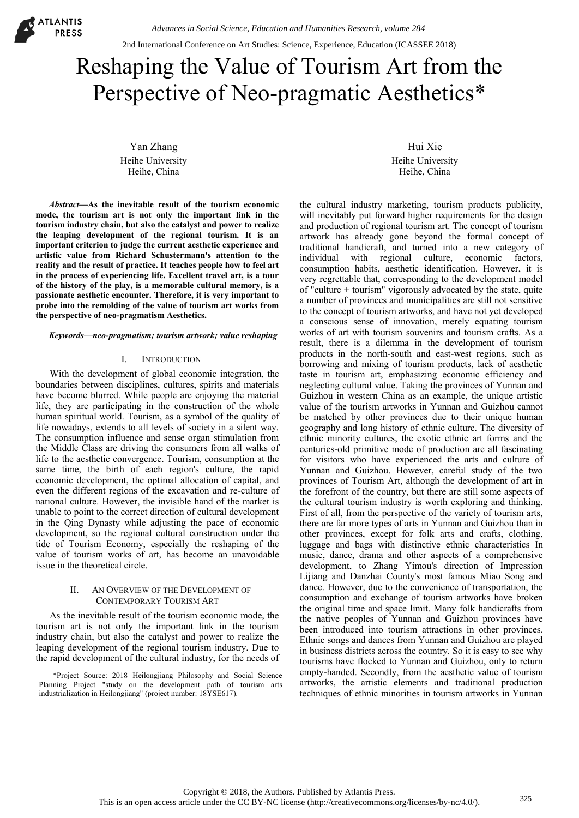

2nd International Conference on Art Studies: Science, Experience, Education (ICASSEE 2018)

# Reshaping the Value of Tourism Art from the Perspective of Neo-pragmatic Aesthetics\*

Yan Zhang Heihe University Heihe, China

*Abstract***—As the inevitable result of the tourism economic mode, the tourism art is not only the important link in the tourism industry chain, but also the catalyst and power to realize the leaping development of the regional tourism. It is an important criterion to judge the current aesthetic experience and artistic value from Richard Schustermann's attention to the reality and the result of practice. It teaches people how to feel art in the process of experiencing life. Excellent travel art, is a tour of the history of the play, is a memorable cultural memory, is a passionate aesthetic encounter. Therefore, it is very important to probe into the remolding of the value of tourism art works from the perspective of neo-pragmatism Aesthetics.** 

#### *Keywords—neo-pragmatism; tourism artwork; value reshaping*

## I. INTRODUCTION

With the development of global economic integration, the boundaries between disciplines, cultures, spirits and materials have become blurred. While people are enjoying the material life, they are participating in the construction of the whole human spiritual world. Tourism, as a symbol of the quality of life nowadays, extends to all levels of society in a silent way. The consumption influence and sense organ stimulation from the Middle Class are driving the consumers from all walks of life to the aesthetic convergence. Tourism, consumption at the same time, the birth of each region's culture, the rapid economic development, the optimal allocation of capital, and even the different regions of the excavation and re-culture of national culture. However, the invisible hand of the market is unable to point to the correct direction of cultural development in the Qing Dynasty while adjusting the pace of economic development, so the regional cultural construction under the tide of Tourism Economy, especially the reshaping of the value of tourism works of art, has become an unavoidable issue in the theoretical circle.

## II. AN OVERVIEW OF THE DEVELOPMENT OF CONTEMPORARY TOURISM ART

As the inevitable result of the tourism economic mode, the tourism art is not only the important link in the tourism industry chain, but also the catalyst and power to realize the leaping development of the regional tourism industry. Due to the rapid development of the cultural industry, for the needs of

Hui Xie Heihe University Heihe, China

the cultural industry marketing, tourism products publicity, will inevitably put forward higher requirements for the design and production of regional tourism art. The concept of tourism artwork has already gone beyond the formal concept of traditional handicraft, and turned into a new category of individual with regional culture, economic factors, consumption habits, aesthetic identification. However, it is very regrettable that, corresponding to the development model of "culture + tourism" vigorously advocated by the state, quite a number of provinces and municipalities are still not sensitive to the concept of tourism artworks, and have not yet developed a conscious sense of innovation, merely equating tourism works of art with tourism souvenirs and tourism crafts. As a result, there is a dilemma in the development of tourism products in the north-south and east-west regions, such as borrowing and mixing of tourism products, lack of aesthetic taste in tourism art, emphasizing economic efficiency and neglecting cultural value. Taking the provinces of Yunnan and Guizhou in western China as an example, the unique artistic value of the tourism artworks in Yunnan and Guizhou cannot be matched by other provinces due to their unique human geography and long history of ethnic culture. The diversity of ethnic minority cultures, the exotic ethnic art forms and the centuries-old primitive mode of production are all fascinating for visitors who have experienced the arts and culture of Yunnan and Guizhou. However, careful study of the two provinces of Tourism Art, although the development of art in the forefront of the country, but there are still some aspects of the cultural tourism industry is worth exploring and thinking. First of all, from the perspective of the variety of tourism arts, there are far more types of arts in Yunnan and Guizhou than in other provinces, except for folk arts and crafts, clothing, luggage and bags with distinctive ethnic characteristics In music, dance, drama and other aspects of a comprehensive development, to Zhang Yimou's direction of Impression Lijiang and Danzhai County's most famous Miao Song and dance. However, due to the convenience of transportation, the consumption and exchange of tourism artworks have broken the original time and space limit. Many folk handicrafts from the native peoples of Yunnan and Guizhou provinces have been introduced into tourism attractions in other provinces. Ethnic songs and dances from Yunnan and Guizhou are played in business districts across the country. So it is easy to see why tourisms have flocked to Yunnan and Guizhou, only to return empty-handed. Secondly, from the aesthetic value of tourism artworks, the artistic elements and traditional production techniques of ethnic minorities in tourism artworks in Yunnan

<sup>\*</sup>Project Source: 2018 Heilongjiang Philosophy and Social Science Planning Project "study on the development path of tourism arts industrialization in Heilongjiang" (project number: 18YSE617).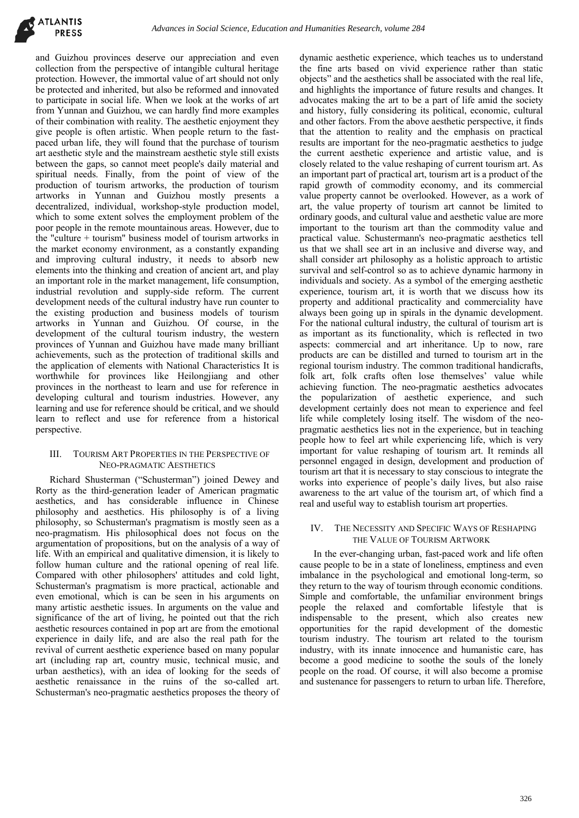and Guizhou provinces deserve our appreciation and even collection from the perspective of intangible cultural heritage protection. However, the immortal value of art should not only be protected and inherited, but also be reformed and innovated to participate in social life. When we look at the works of art from Yunnan and Guizhou, we can hardly find more examples of their combination with reality. The aesthetic enjoyment they give people is often artistic. When people return to the fastpaced urban life, they will found that the purchase of tourism art aesthetic style and the mainstream aesthetic style still exists between the gaps, so cannot meet people's daily material and spiritual needs. Finally, from the point of view of the production of tourism artworks, the production of tourism artworks in Yunnan and Guizhou mostly presents a decentralized, individual, workshop-style production model, which to some extent solves the employment problem of the poor people in the remote mountainous areas. However, due to the "culture + tourism" business model of tourism artworks in the market economy environment, as a constantly expanding and improving cultural industry, it needs to absorb new elements into the thinking and creation of ancient art, and play an important role in the market management, life consumption, industrial revolution and supply-side reform. The current development needs of the cultural industry have run counter to the existing production and business models of tourism artworks in Yunnan and Guizhou. Of course, in the development of the cultural tourism industry, the western provinces of Yunnan and Guizhou have made many brilliant achievements, such as the protection of traditional skills and the application of elements with National Characteristics It is worthwhile for provinces like Heilongjiang and other provinces in the northeast to learn and use for reference in developing cultural and tourism industries. However, any learning and use for reference should be critical, and we should learn to reflect and use for reference from a historical perspective.

## III. TOURISM ART PROPERTIES IN THE PERSPECTIVE OF NEO-PRAGMATIC AESTHETICS

Richard Shusterman ("Schusterman") joined Dewey and Rorty as the third-generation leader of American pragmatic aesthetics, and has considerable influence in Chinese philosophy and aesthetics. His philosophy is of a living philosophy, so Schusterman's pragmatism is mostly seen as a neo-pragmatism. His philosophical does not focus on the argumentation of propositions, but on the analysis of a way of life. With an empirical and qualitative dimension, it is likely to follow human culture and the rational opening of real life. Compared with other philosophers' attitudes and cold light, Schusterman's pragmatism is more practical, actionable and even emotional, which is can be seen in his arguments on many artistic aesthetic issues. In arguments on the value and significance of the art of living, he pointed out that the rich aesthetic resources contained in pop art are from the emotional experience in daily life, and are also the real path for the revival of current aesthetic experience based on many popular art (including rap art, country music, technical music, and urban aesthetics), with an idea of looking for the seeds of aesthetic renaissance in the ruins of the so-called art. Schusterman's neo-pragmatic aesthetics proposes the theory of

dynamic aesthetic experience, which teaches us to understand the fine arts based on vivid experience rather than static objects" and the aesthetics shall be associated with the real life, and highlights the importance of future results and changes. It advocates making the art to be a part of life amid the society and history, fully considering its political, economic, cultural and other factors. From the above aesthetic perspective, it finds that the attention to reality and the emphasis on practical results are important for the neo-pragmatic aesthetics to judge the current aesthetic experience and artistic value, and is closely related to the value reshaping of current tourism art. As an important part of practical art, tourism art is a product of the rapid growth of commodity economy, and its commercial value property cannot be overlooked. However, as a work of art, the value property of tourism art cannot be limited to ordinary goods, and cultural value and aesthetic value are more important to the tourism art than the commodity value and practical value. Schustermann's neo-pragmatic aesthetics tell us that we shall see art in an inclusive and diverse way, and shall consider art philosophy as a holistic approach to artistic survival and self-control so as to achieve dynamic harmony in individuals and society. As a symbol of the emerging aesthetic experience, tourism art, it is worth that we discuss how its property and additional practicality and commerciality have always been going up in spirals in the dynamic development. For the national cultural industry, the cultural of tourism art is as important as its functionality, which is reflected in two aspects: commercial and art inheritance. Up to now, rare products are can be distilled and turned to tourism art in the regional tourism industry. The common traditional handicrafts, folk art, folk crafts often lose themselves' value while achieving function. The neo-pragmatic aesthetics advocates the popularization of aesthetic experience, and such development certainly does not mean to experience and feel life while completely losing itself. The wisdom of the neopragmatic aesthetics lies not in the experience, but in teaching people how to feel art while experiencing life, which is very important for value reshaping of tourism art. It reminds all personnel engaged in design, development and production of tourism art that it is necessary to stay conscious to integrate the works into experience of people's daily lives, but also raise awareness to the art value of the tourism art, of which find a real and useful way to establish tourism art properties.

## IV. THE NECESSITY AND SPECIFIC WAYS OF RESHAPING THE VALUE OF TOURISM ARTWORK

In the ever-changing urban, fast-paced work and life often cause people to be in a state of loneliness, emptiness and even imbalance in the psychological and emotional long-term, so they return to the way of tourism through economic conditions. Simple and comfortable, the unfamiliar environment brings people the relaxed and comfortable lifestyle that is indispensable to the present, which also creates new opportunities for the rapid development of the domestic tourism industry. The tourism art related to the tourism industry, with its innate innocence and humanistic care, has become a good medicine to soothe the souls of the lonely people on the road. Of course, it will also become a promise and sustenance for passengers to return to urban life. Therefore,